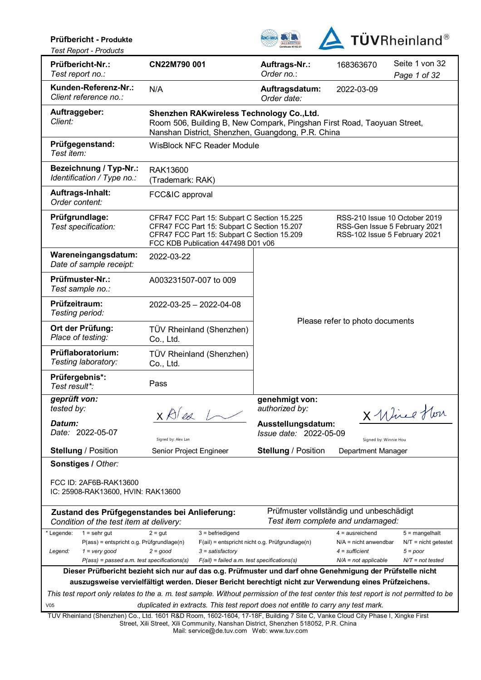### **Prüfbericht - Produkte**



*Test Report - Products* 

| Prüfbericht-Nr.:<br>Test report no.:                                                                                                                       | CN22M790 001                                                                                                                                                                    | Auftrags-Nr.:<br>Order no.:                            | 168363670                                                                                       | Seite 1 von 32<br>Page 1 of 32                                                 |  |  |  |
|------------------------------------------------------------------------------------------------------------------------------------------------------------|---------------------------------------------------------------------------------------------------------------------------------------------------------------------------------|--------------------------------------------------------|-------------------------------------------------------------------------------------------------|--------------------------------------------------------------------------------|--|--|--|
| Kunden-Referenz-Nr.:<br>Client reference no.:                                                                                                              | N/A                                                                                                                                                                             | Auftragsdatum:<br>Order date:                          | 2022-03-09                                                                                      |                                                                                |  |  |  |
| Auftraggeber:<br>Client:                                                                                                                                   | Shenzhen RAKwireless Technology Co., Ltd.<br>Room 506, Building B, New Compark, Pingshan First Road, Taoyuan Street,<br>Nanshan District, Shenzhen, Guangdong, P.R. China       |                                                        |                                                                                                 |                                                                                |  |  |  |
| Prüfgegenstand:<br>Test item:                                                                                                                              | <b>WisBlock NFC Reader Module</b>                                                                                                                                               |                                                        |                                                                                                 |                                                                                |  |  |  |
| Bezeichnung / Typ-Nr.:<br>Identification / Type no.:                                                                                                       | RAK13600<br>(Trademark: RAK)                                                                                                                                                    |                                                        |                                                                                                 |                                                                                |  |  |  |
| Auftrags-Inhalt:<br>Order content:                                                                                                                         | FCC&IC approval                                                                                                                                                                 |                                                        |                                                                                                 |                                                                                |  |  |  |
| Prüfgrundlage:<br>Test specification:                                                                                                                      | CFR47 FCC Part 15: Subpart C Section 15.225<br>CFR47 FCC Part 15: Subpart C Section 15.207<br>CFR47 FCC Part 15: Subpart C Section 15.209<br>FCC KDB Publication 447498 D01 v06 |                                                        | RSS-210 Issue 10 October 2019<br>RSS-Gen Issue 5 February 2021<br>RSS-102 Issue 5 February 2021 |                                                                                |  |  |  |
| Wareneingangsdatum:<br>Date of sample receipt:                                                                                                             | 2022-03-22                                                                                                                                                                      |                                                        |                                                                                                 |                                                                                |  |  |  |
| Prüfmuster-Nr.:<br>Test sample no.:                                                                                                                        | A003231507-007 to 009                                                                                                                                                           |                                                        |                                                                                                 |                                                                                |  |  |  |
| Prüfzeitraum:<br>Testing period:                                                                                                                           | 2022-03-25 - 2022-04-08                                                                                                                                                         |                                                        |                                                                                                 |                                                                                |  |  |  |
| Ort der Prüfung:<br>Place of testing:                                                                                                                      | TÜV Rheinland (Shenzhen)<br>Co., Ltd.                                                                                                                                           | Please refer to photo documents                        |                                                                                                 |                                                                                |  |  |  |
| Prüflaboratorium:<br>Testing laboratory:                                                                                                                   | TÜV Rheinland (Shenzhen)<br>Co., Ltd.                                                                                                                                           |                                                        |                                                                                                 |                                                                                |  |  |  |
| Prüfergebnis*:<br>Test result*:                                                                                                                            | Pass                                                                                                                                                                            |                                                        |                                                                                                 |                                                                                |  |  |  |
| geprüft von:<br>tested by:<br>Datum:                                                                                                                       | x Alex L                                                                                                                                                                        | genehmigt von:<br>authorized by:<br>Ausstellungsdatum: |                                                                                                 | X Wirel Hon                                                                    |  |  |  |
| Date: 2022-05-07                                                                                                                                           | Signed by: Alex Lan                                                                                                                                                             | Issue date: 2022-05-09                                 | Signed by: Winnie Hou                                                                           |                                                                                |  |  |  |
| <b>Stellung / Position</b>                                                                                                                                 | Senior Project Engineer                                                                                                                                                         | <b>Stellung / Position</b>                             | Department Manager                                                                              |                                                                                |  |  |  |
| Sonstiges / Other:<br>FCC ID: 2AF6B-RAK13600<br>IC: 25908-RAK13600, HVIN: RAK13600                                                                         |                                                                                                                                                                                 |                                                        |                                                                                                 |                                                                                |  |  |  |
| Condition of the test item at delivery:                                                                                                                    | Zustand des Prüfgegenstandes bei Anlieferung:                                                                                                                                   |                                                        | Prüfmuster vollständig und unbeschädigt<br>Test item complete and undamaged:                    |                                                                                |  |  |  |
| * Legende:<br>$1 =$ sehr gut<br>$P(ass)$ = entspricht o.g. Prüfgrundlage(n)<br>Legend:<br>$1 = very good$<br>$P(ass)$ = passed a.m. test specifications(s) | $3$ = befriedigend<br>$2 = gut$<br>$2 = good$<br>$3 =$ satisfactory<br>$F(ai)$ = failed a.m. test specifications(s)                                                             | F(ail) = entspricht nicht o.g. Prüfgrundlage(n)        | $4 =$ ausreichend<br>$N/A$ = nicht anwendbar<br>$4 =$ sufficient<br>$N/A$ = not applicable      | $5 =$ mangelhalt<br>$N/T =$ nicht getestet<br>$5 = poor$<br>$N/T$ = not tested |  |  |  |
|                                                                                                                                                            | Dieser Prüfbericht bezieht sich nur auf das o.g. Prüfmuster und darf ohne Genehmigung der Prüfstelle nicht                                                                      |                                                        |                                                                                                 |                                                                                |  |  |  |
|                                                                                                                                                            | auszugsweise vervielfältigt werden. Dieser Bericht berechtigt nicht zur Verwendung eines Prüfzeichens.                                                                          |                                                        |                                                                                                 |                                                                                |  |  |  |
|                                                                                                                                                            | This test report only relates to the a. m. test sample. Without permission of the test center this test report is not permitted to be                                           |                                                        |                                                                                                 |                                                                                |  |  |  |
|                                                                                                                                                            | duplicated in extracts. This test report does not entitle to carry any test mark.                                                                                               |                                                        |                                                                                                 |                                                                                |  |  |  |

Mail: service@de.tuv.com Web: www.tuv.com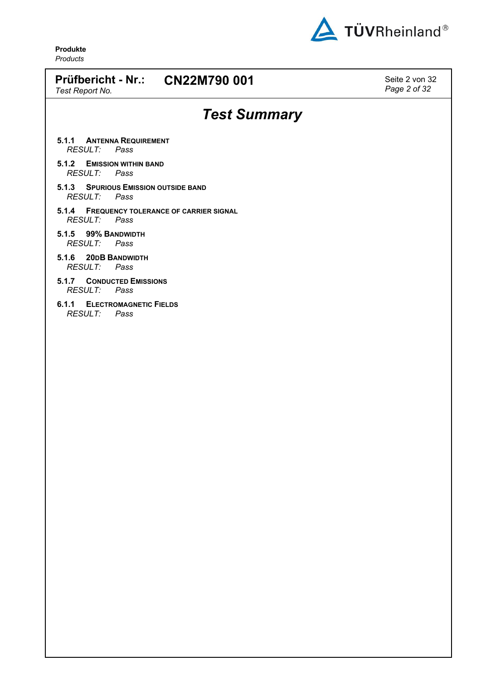

*Page 2 of 32*

**Produkte** *Products*

# **Prüfbericht - Nr.: CN22M790 001** Seite 2 von 32 *Test Report No. Test Summary*

- **5.1.1 ANTENNA REQUIREMENT** *RESULT: Pass*
- **5.1.2 EMISSION WITHIN BAND** *RESULT: Pass*
- **5.1.3 SPURIOUS EMISSION OUTSIDE BAND** *RESULT: Pass*
- **5.1.4 FREQUENCY TOLERANCE OF CARRIER SIGNAL** *RESULT: Pass*
- **5.1.5 99% BANDWIDTH** *RESULT: Pass*
- **5.1.6 20DB BANDWIDTH** *RESULT: Pass*
- **5.1.7 CONDUCTED EMISSIONS** *RESULT: Pass*
- **6.1.1 ELECTROMAGNETIC FIELDS** *RESULT: Pass*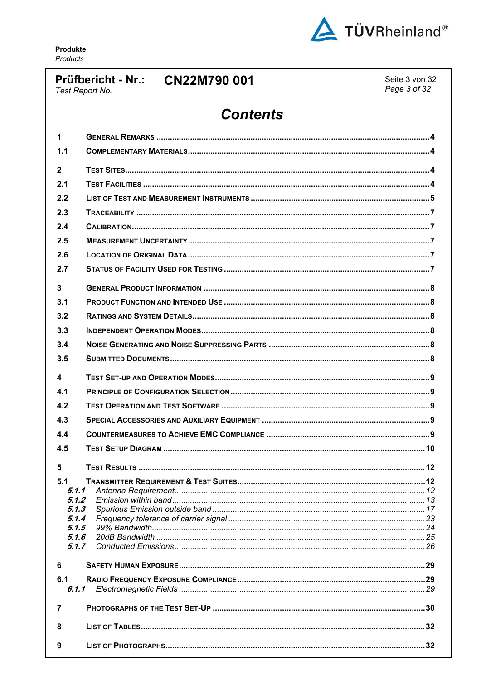

# Prüfbericht - Nr.: CN22M790 001

Seite 3 von 32 Page 3 of 32

## Test Report No.

# **Contents**

| 1              |  |
|----------------|--|
| 1.1            |  |
| $\overline{2}$ |  |
| 2.1            |  |
| 2.2            |  |
| 2.3            |  |
| 2.4            |  |
| 2.5            |  |
| 2.6            |  |
| 2.7            |  |
| $\mathbf{3}$   |  |
| 3.1            |  |
| 3.2            |  |
| 3.3            |  |
| 3.4            |  |
| 3.5            |  |
| 4              |  |
| 4.1            |  |
| 4.2            |  |
| 4.3            |  |
| 4.4            |  |
| 4.5            |  |
| 5              |  |
| 5.1            |  |
| 5.1.1          |  |
| 5.1.2          |  |
| 5.1.3          |  |
| 5.1.4<br>5.1.5 |  |
| 5.1.6          |  |
| 5.1.7          |  |
| 6              |  |
| 6.1            |  |
|                |  |
| 7              |  |
| 8              |  |
| 9              |  |
|                |  |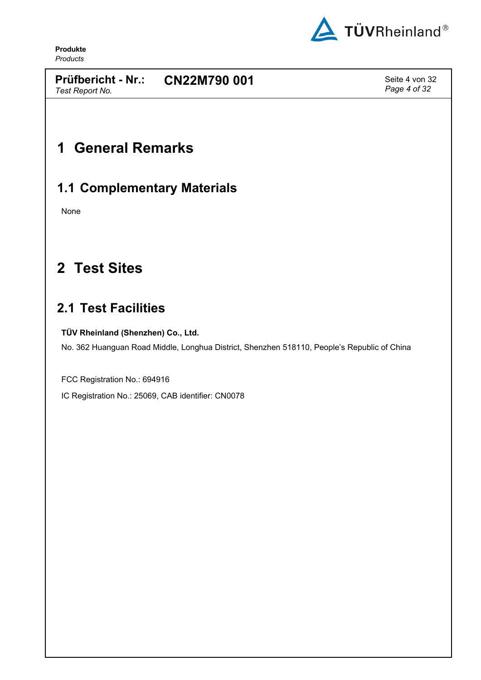

*Test Report No.*

**Prüfbericht - Nr.: CN22M790 001** Seite 4 von 32

*Page 4 of 32*

# <span id="page-3-0"></span>**1 General Remarks**

## <span id="page-3-1"></span>**1.1 Complementary Materials**

None

# <span id="page-3-2"></span>**2 Test Sites**

# <span id="page-3-3"></span>**2.1 Test Facilities**

### **TÜV Rheinland (Shenzhen) Co., Ltd.**

<span id="page-3-4"></span>No. 362 Huanguan Road Middle, Longhua District, Shenzhen 518110, People's Republic of China

FCC Registration No.: 694916

IC Registration No.: 25069, CAB identifier: CN0078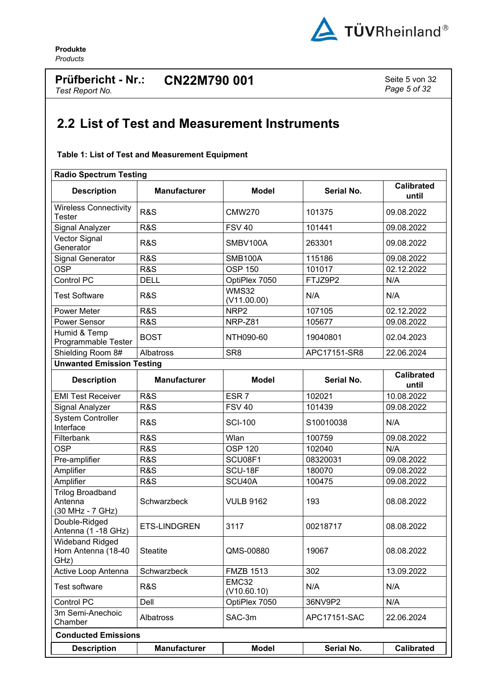

### **Prüfbericht - Nr.: CN22M790 001** Seite 5 von 32 *Test Report No.*

*Page 5 of 32*

# <span id="page-4-0"></span>**2.2 List of Test and Measurement Instruments**

### <span id="page-4-1"></span>**Table 1: List of Test and Measurement Equipment**

| <b>Radio Spectrum Testing</b>                          |                                                      |                                 |              |                            |  |  |  |  |
|--------------------------------------------------------|------------------------------------------------------|---------------------------------|--------------|----------------------------|--|--|--|--|
| <b>Description</b>                                     | <b>Manufacturer</b>                                  | <b>Model</b>                    | Serial No.   | <b>Calibrated</b><br>until |  |  |  |  |
| <b>Wireless Connectivity</b><br><b>Tester</b>          | <b>R&amp;S</b>                                       | <b>CMW270</b>                   | 101375       | 09.08.2022                 |  |  |  |  |
| Signal Analyzer                                        | <b>R&amp;S</b>                                       | <b>FSV 40</b>                   | 101441       | 09.08.2022                 |  |  |  |  |
| Vector Signal<br>Generator                             | <b>R&amp;S</b>                                       | SMBV100A                        | 263301       | 09.08.2022                 |  |  |  |  |
| <b>Signal Generator</b>                                | <b>R&amp;S</b>                                       | <b>SMB100A</b>                  | 115186       | 09.08.2022                 |  |  |  |  |
| <b>OSP</b>                                             | <b>R&amp;S</b>                                       | <b>OSP 150</b>                  | 101017       | 02.12.2022                 |  |  |  |  |
| Control PC                                             | <b>DELL</b>                                          | FTJZ9P2<br>OptiPlex 7050        |              | N/A                        |  |  |  |  |
| <b>Test Software</b>                                   | <b>WMS32</b><br><b>R&amp;S</b><br>N/A<br>(V11.00.00) |                                 | N/A          |                            |  |  |  |  |
| <b>Power Meter</b>                                     | <b>R&amp;S</b>                                       | NRP <sub>2</sub>                | 107105       | 02.12.2022                 |  |  |  |  |
| Power Sensor                                           | <b>R&amp;S</b>                                       | NRP-Z81                         | 105677       | 09.08.2022                 |  |  |  |  |
| Humid & Temp<br>Programmable Tester                    | <b>BOST</b>                                          | NTH090-60<br>19040801           |              | 02.04.2023                 |  |  |  |  |
| Shielding Room 8#                                      | Albatross                                            | SR <sub>8</sub><br>APC17151-SR8 |              | 22.06.2024                 |  |  |  |  |
| <b>Unwanted Emission Testing</b>                       |                                                      |                                 |              |                            |  |  |  |  |
| <b>Description</b>                                     | <b>Manufacturer</b>                                  | <b>Model</b>                    | Serial No.   | <b>Calibrated</b><br>until |  |  |  |  |
| <b>EMI Test Receiver</b>                               | <b>R&amp;S</b>                                       | ESR <sub>7</sub>                | 102021       | 10.08.2022                 |  |  |  |  |
| Signal Analyzer                                        | <b>R&amp;S</b>                                       | <b>FSV 40</b>                   | 101439       | 09.08.2022                 |  |  |  |  |
| <b>System Controller</b><br>Interface                  | <b>R&amp;S</b>                                       | <b>SCI-100</b>                  | S10010038    | N/A                        |  |  |  |  |
| Filterbank                                             | <b>R&amp;S</b>                                       | Wlan                            | 100759       | 09.08.2022                 |  |  |  |  |
| <b>OSP</b>                                             | <b>R&amp;S</b>                                       | <b>OSP 120</b>                  | 102040       | N/A                        |  |  |  |  |
| Pre-amplifier                                          | R&S                                                  | SCU08F1                         | 08320031     | 09.08.2022                 |  |  |  |  |
| Amplifier                                              | <b>R&amp;S</b>                                       | SCU-18F                         | 180070       | 09.08.2022                 |  |  |  |  |
| Amplifier                                              | <b>R&amp;S</b>                                       | SCU40A                          | 100475       | 09.08.2022                 |  |  |  |  |
| <b>Trilog Broadband</b><br>Antenna<br>(30 MHz - 7 GHz) | Schwarzbeck                                          | <b>VULB 9162</b>                | 193          | 08.08.2022                 |  |  |  |  |
| Double-Ridged<br>Antenna (1 - 18 GHz)                  | ETS-LINDGREN                                         | 3117                            | 00218717     | 08.08.2022                 |  |  |  |  |
| <b>Wideband Ridged</b><br>Horn Antenna (18-40<br>GHz)  | <b>Steatite</b>                                      | QMS-00880                       | 19067        | 08.08.2022                 |  |  |  |  |
| Active Loop Antenna                                    | Schwarzbeck                                          | <b>FMZB 1513</b>                | 302          | 13.09.2022                 |  |  |  |  |
| <b>Test software</b>                                   | <b>R&amp;S</b>                                       | EMC32<br>(V10.60.10)            | N/A          | N/A                        |  |  |  |  |
| Control PC                                             | Dell                                                 | OptiPlex 7050                   | 36NV9P2      | N/A                        |  |  |  |  |
| 3m Semi-Anechoic<br>Chamber                            | Albatross                                            | SAC-3m                          | APC17151-SAC | 22.06.2024                 |  |  |  |  |
| <b>Conducted Emissions</b>                             |                                                      |                                 |              |                            |  |  |  |  |
| <b>Description</b>                                     | <b>Manufacturer</b>                                  | <b>Model</b>                    | Serial No.   | <b>Calibrated</b>          |  |  |  |  |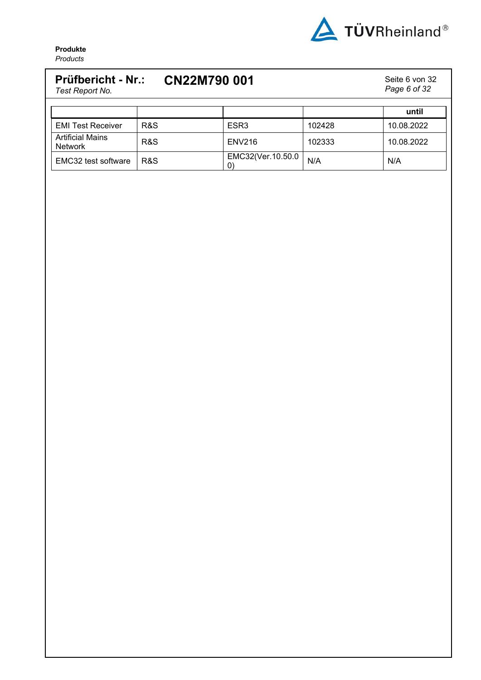

### **Prüfbericht - Nr.: CN22M790 001** Seite 6 von 32 *Test Report No. Page 6 of 32* **until** EMI Test Receiver | R&S | ESR3 | 102428 | 10.08.2022 Artificial Mains Artificial Maris | R&S | ENV216 | 102333 | 10.08.2022 EMC32 test software  $\begin{array}{c} \begin{array}{c} \text{RAS} \\ \text{RAS} \end{array} \end{array}$  $EMC32(Ver.10.50.0$   $N/A$   $N/A$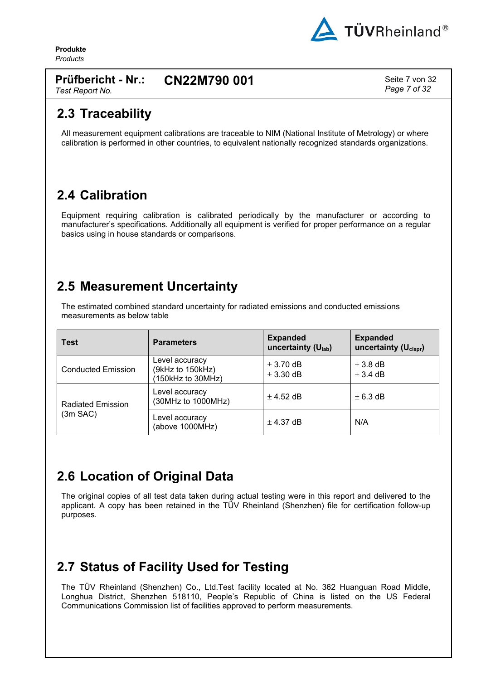

*Page 7 of 32*

**Produkte** *Products*

#### **Prüfbericht - Nr.: CN22M790 001** Seite 7 von 32

*Test Report No.*

## <span id="page-6-0"></span>**2.3 Traceability**

All measurement equipment calibrations are traceable to NIM (National Institute of Metrology) or where calibration is performed in other countries, to equivalent nationally recognized standards organizations.

# <span id="page-6-1"></span>**2.4 Calibration**

Equipment requiring calibration is calibrated periodically by the manufacturer or according to manufacturer's specifications. Additionally all equipment is verified for proper performance on a regular basics using in house standards or comparisons.

## <span id="page-6-2"></span>**2.5 Measurement Uncertainty**

The estimated combined standard uncertainty for radiated emissions and conducted emissions measurements as below table

| <b>Test</b>                          | <b>Parameters</b>                                       | <b>Expanded</b><br>uncertainty $(U_{lab})$ | <b>Expanded</b><br>uncertainty $(U_{\text{cisor}})$ |
|--------------------------------------|---------------------------------------------------------|--------------------------------------------|-----------------------------------------------------|
| <b>Conducted Emission</b>            | Level accuracy<br>(9kHz to 150kHz)<br>(150kHz to 30MHz) | $\pm$ 3.70 dB<br>$\pm$ 3.30 dB             | $\pm$ 3.8 dB<br>$\pm$ 3.4 dB                        |
| <b>Radiated Emission</b><br>(3m SAC) | Level accuracy<br>(30MHz to 1000MHz)                    | $\pm$ 4.52 dB                              | $\pm$ 6.3 dB                                        |
|                                      | Level accuracy<br>(above 1000MHz)                       | $\pm$ 4.37 dB                              | N/A                                                 |

# <span id="page-6-3"></span>**2.6 Location of Original Data**

The original copies of all test data taken during actual testing were in this report and delivered to the applicant. A copy has been retained in the TÜV Rheinland (Shenzhen) file for certification follow-up purposes.

# <span id="page-6-4"></span>**2.7 Status of Facility Used for Testing**

The TÜV Rheinland (Shenzhen) Co., Ltd.Test facility located at No. 362 [Huanguan](#page-3-4) Road Middle, Longhua District, [Shenzhen](#page-3-4) 518110, People's Republic of China is listed on the US Federal Communications Commission list of facilities approved to perform measurements.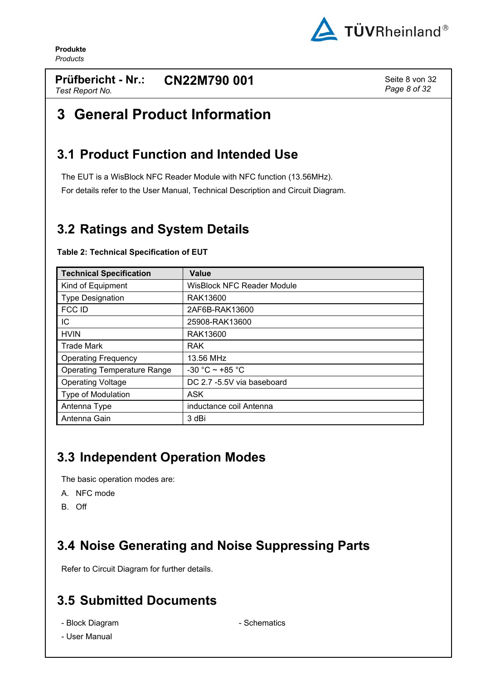

### **Prüfbericht - Nr.: CN22M790 001** Seite 8 von 32 *Test Report No.*

*Page 8 of 32*

# <span id="page-7-0"></span>**3 General Product Information**

## <span id="page-7-1"></span>**3.1 Product Function and Intended Use**

The EUT is a WisBlock NFC Reader Module with NFC function (13.56MHz). For details refer to the User Manual, Technical Description and Circuit Diagram.

# <span id="page-7-2"></span>**3.2 Ratings and System Details**

| <b>Technical Specification</b>     | Value                             |
|------------------------------------|-----------------------------------|
| Kind of Equipment                  | <b>WisBlock NFC Reader Module</b> |
| <b>Type Designation</b>            | RAK13600                          |
| FCC ID                             | 2AF6B-RAK13600                    |
| IC                                 | 25908-RAK13600                    |
| <b>HVIN</b>                        | RAK13600                          |
| <b>Trade Mark</b>                  | <b>RAK</b>                        |
| <b>Operating Frequency</b>         | 13.56 MHz                         |
| <b>Operating Temperature Range</b> | $-30 °C \sim +85 °C$              |
| <b>Operating Voltage</b>           | DC 2.7 -5.5V via baseboard        |
| <b>Type of Modulation</b>          | <b>ASK</b>                        |
| Antenna Type                       | inductance coil Antenna           |
| Antenna Gain                       | 3 dBi                             |

### <span id="page-7-6"></span>**Table 2: Technical Specification of EUT**

# <span id="page-7-3"></span>**3.3 Independent Operation Modes**

The basic operation modes are:

- A. NFC mode
- <span id="page-7-4"></span>B. Off

# **3.4 Noise Generating and Noise Suppressing Parts**

<span id="page-7-5"></span>Refer to Circuit Diagram for further details.

# **3.5 Submitted Documents**

- Block Diagram Schematics
- User Manual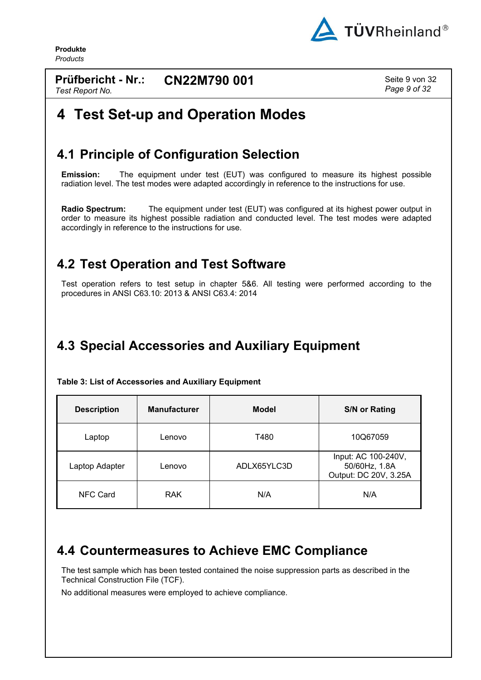

**Prüfbericht - Nr.:** *Test Report No.* **CN22M790 001** Seite 9 von 32

*Page 9 of 32*

# <span id="page-8-0"></span>**4 Test Set-up and Operation Modes**

## <span id="page-8-1"></span>**4.1 Principle of Configuration Selection**

**Emission:** The equipment under test (EUT) was configured to measure its highest possible radiation level. The test modes were adapted accordingly in reference to the instructions for use.

**Radio Spectrum:** The equipment under test (EUT) was configured at its highest power output in order to measure its highest possible radiation and conducted level. The test modes were adapted accordingly in reference to the instructions for use.

## <span id="page-8-2"></span>**4.2 Test Operation and Test Software**

Test operation refers to test setup in chapter 5&6. All testing were performed according to the procedures in ANSI C63.10: 2013 & ANSI C63.4: 2014

# <span id="page-8-3"></span>**4.3 Special Accessories and Auxiliary Equipment**

| <b>Description</b> | <b>Manufacturer</b> | <b>Model</b> | <b>S/N or Rating</b>                                          |
|--------------------|---------------------|--------------|---------------------------------------------------------------|
| Laptop             | Lenovo              | T480         | 10Q67059                                                      |
| Laptop Adapter     | Lenovo              | ADLX65YLC3D  | Input: AC 100-240V,<br>50/60Hz, 1.8A<br>Output: DC 20V, 3.25A |
| NFC Card           | <b>RAK</b>          | N/A          | N/A                                                           |

<span id="page-8-5"></span>**Table 3: List of Accessories and Auxiliary Equipment**

# <span id="page-8-4"></span>**4.4 Countermeasures to Achieve EMC Compliance**

The test sample which has been tested contained the noise suppression parts as described in the Technical Construction File (TCF).

No additional measures were employed to achieve compliance.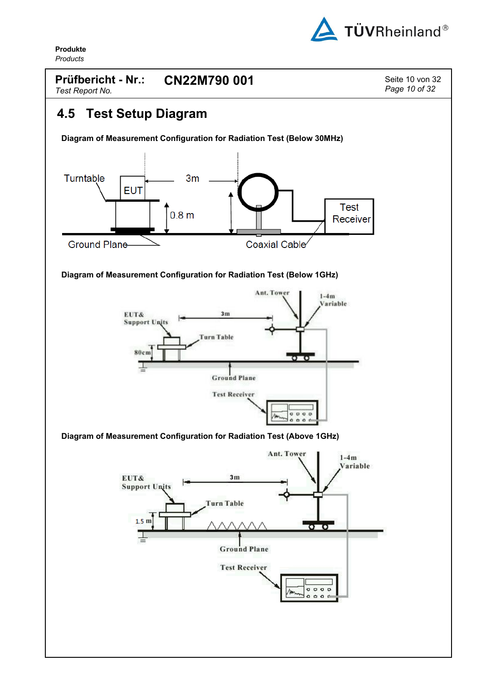

<span id="page-9-0"></span>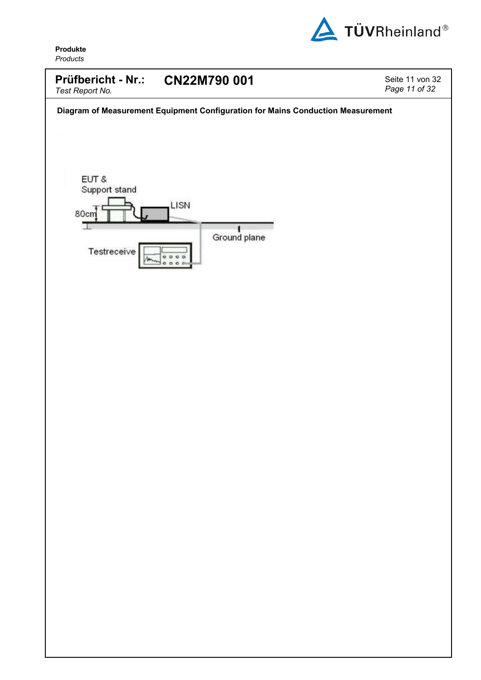

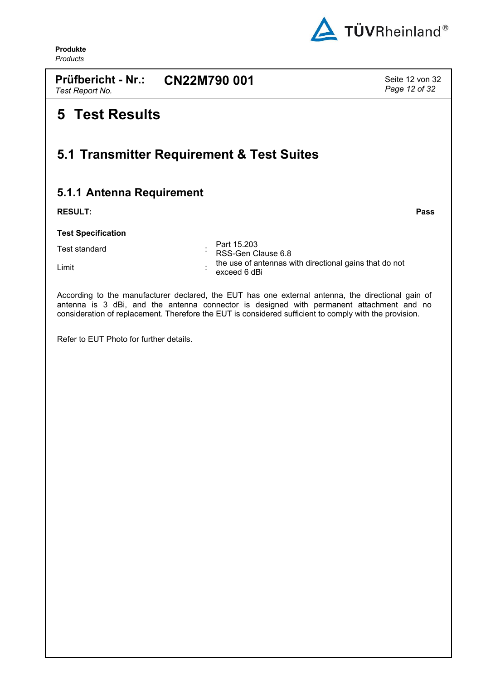

**Prüfbericht - Nr.: CN22M790 001** Seite 12 von 32 *Test Report No.*

*Page 12 of 32*

# <span id="page-11-0"></span>**5 Test Results**

## <span id="page-11-1"></span>**5.1 Transmitter Requirement & Test Suites**

## <span id="page-11-2"></span>**5.1.1 Antenna Requirement**

**RESULT: Pass**

**Test Specification**

| Test standard | Part 15.203<br>RSS-Gen Clause 6.8                                      |
|---------------|------------------------------------------------------------------------|
| Limit         | the use of antennas with directional gains that do not<br>exceed 6 dBi |

According to the manufacturer declared, the EUT has one external antenna, the directional gain of antenna is 3 dBi, and the antenna connector is designed with permanent attachment and no consideration of replacement. Therefore the EUT is considered sufficient to comply with the provision.

Refer to EUT Photo for further details.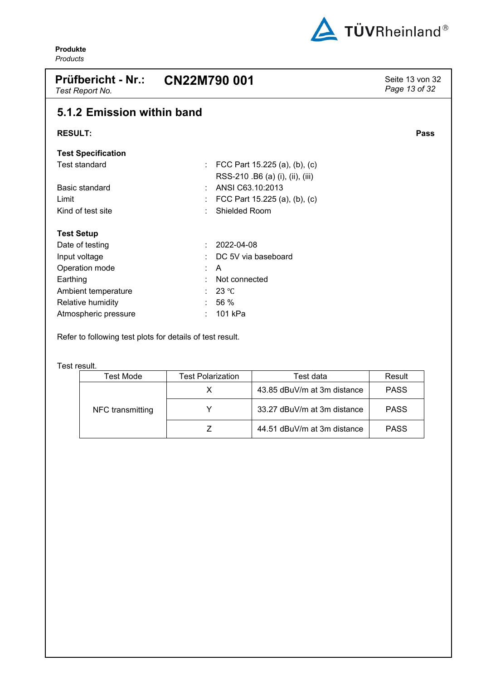

<span id="page-12-0"></span>

| <b>Prüfbericht - Nr.:</b><br>Test Report No. | CN22M790 001                                                        |      |  |  |  |  |
|----------------------------------------------|---------------------------------------------------------------------|------|--|--|--|--|
| 5.1.2 Emission within band                   |                                                                     |      |  |  |  |  |
| <b>RESULT:</b>                               |                                                                     | Pass |  |  |  |  |
| <b>Test Specification</b>                    |                                                                     |      |  |  |  |  |
| <b>Test standard</b>                         | : FCC Part 15.225 (a), (b), (c)<br>RSS-210 .B6 (a) (i), (ii), (iii) |      |  |  |  |  |
| Basic standard                               | ANSI C63.10:2013                                                    |      |  |  |  |  |
| Limit                                        | FCC Part 15.225 (a), (b), (c)                                       |      |  |  |  |  |
| Kind of test site                            | <b>Shielded Room</b>                                                |      |  |  |  |  |
| <b>Test Setup</b>                            |                                                                     |      |  |  |  |  |
| Date of testing                              | 2022-04-08                                                          |      |  |  |  |  |
| Input voltage                                | DC 5V via baseboard                                                 |      |  |  |  |  |
| Operation mode                               | A<br>٠.                                                             |      |  |  |  |  |
| Earthing                                     | Not connected                                                       |      |  |  |  |  |
| Ambient temperature                          | 23 °C                                                               |      |  |  |  |  |
| Relative humidity                            | 56 %                                                                |      |  |  |  |  |
| Atmospheric pressure                         | 101 kPa                                                             |      |  |  |  |  |

Refer to following test plots for details of test result.

Test result.

| Test Mode        | <b>Test Polarization</b> | Test data                   | Result      |
|------------------|--------------------------|-----------------------------|-------------|
|                  |                          | 43.85 dBuV/m at 3m distance | <b>PASS</b> |
| NFC transmitting |                          | 33.27 dBuV/m at 3m distance | <b>PASS</b> |
|                  |                          | 44.51 dBuV/m at 3m distance | <b>PASS</b> |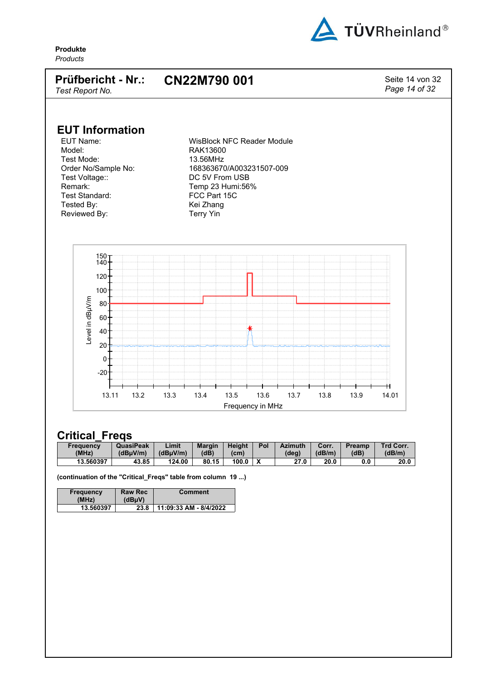

#### **Prüfbericht - Nr.: CN22M790 001** Seite <sup>14</sup> von <sup>32</sup>

*Page 14 of 32*

*Test Report No.*

# **EUT Information**

Model: RAK13600 Test Mode: 13.56MHz Test Voltage:: DC 5V From USB Remark: Temp 23 Humi:56%<br>Test Standard: Test Standard: Test Standard: Tested By: Kei Zhang Reviewed By: Terry Yin

WisBlock NFC Reader Module Order No/Sample No: 168363670/A003231507-009 FCC Part 15C



## **Critical\_Freqs**

| Freauencv | <b>QuasiPeak</b> | Limit    | <b>Margin</b> | <b>Height</b>     | Pol | <b>Azimuth</b> | Corr.  | <b>Preamp</b> | <b>Trd Corr.</b> |
|-----------|------------------|----------|---------------|-------------------|-----|----------------|--------|---------------|------------------|
| (MHz)     | (dBuV/m)         | (dBuV/m) | (dB)          | (c <sub>m</sub> ) |     | (deg)          | (dB/m) | (dB)          | (dB/m)           |
| 13.560397 | 43.85            | 124.00   | 80.15         | 100.0             |     | 27.0           | 20.0   | 0.0           | 20.0             |

**(continuation of the "Critical\_Freqs" table from column 19 ...)**

| Frequency<br>(MHz) | <b>Raw Rec</b><br>(dBuV) | Comment                |
|--------------------|--------------------------|------------------------|
| 13.560397          | 23.8                     | 11:09:33 AM - 8/4/2022 |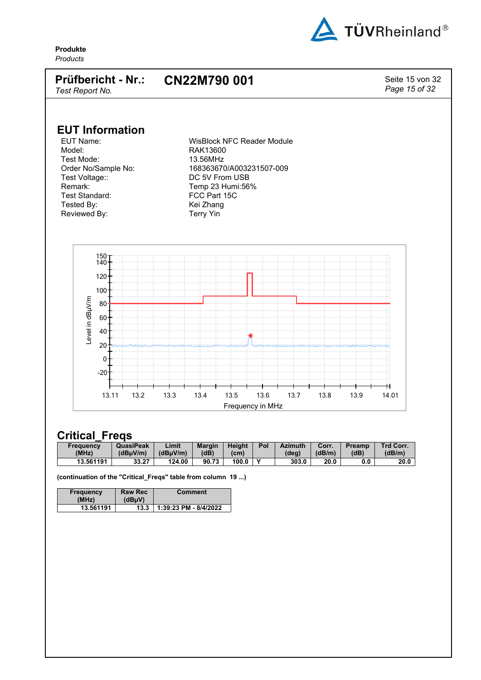

#### **Prüfbericht - Nr.: CN22M790 001** Seite 15 von 32

*Page 15 of 32*

*Test Report No.*

# **EUT Information**

Model: RAK13600 Test Mode: 13.56MHz Test Voltage:: DC 5V From USB Remark: Temp 23 Humi:56%<br>Test Standard: Test Standard: Test Standard: Tested By: Kei Zhang Reviewed By: Terry Yin

WisBlock NFC Reader Module Order No/Sample No: 168363670/A003231507-009 FCC Part 15C



## **Critical\_Freqs**

| Freauency | <b>QuasiPeak</b> | ∟imit    | <b>Margin</b> | <b>Height</b>     | Pol | <b>Azimuth</b> | Corr.  | Preamp | Trd Corr. |
|-----------|------------------|----------|---------------|-------------------|-----|----------------|--------|--------|-----------|
| (MHz)     | (dBuV/m)         | (dBuV/m) | (dB)          | (c <sub>m</sub> ) |     | (deg)          | (dB/m) | (dB)   | (dB/m)    |
| 13.561191 | 33.27            | 124.00   | 90.73         | 100.0             |     | 303.0          | 20.0   | 0.0    | 20.0      |

**(continuation of the "Critical\_Freqs" table from column 19 ...)**

| Frequency<br>(MHz) | <b>Raw Rec</b><br>(dBuV) | <b>Comment</b>        |
|--------------------|--------------------------|-----------------------|
| 13.561191          | 13.3                     | 1:39:23 PM - 8/4/2022 |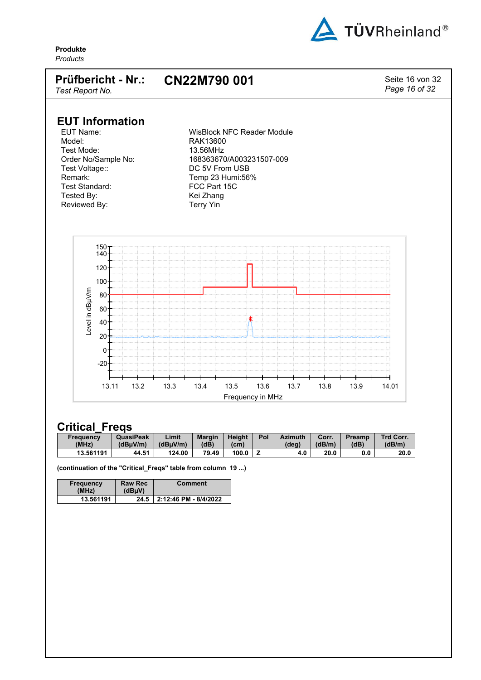

**Produkte**

## *Products* **Prüfbericht - Nr.:** *Test Report No.* **CN22M790 001** Seite 16 von 32 *Page 16 of 32* **EUT Information** EUT Name:  $\begin{array}{ccc}\n\text{WisBlock } & \text{NFC } & \text{Reader } & \text{Module} \\
\text{Model:} & \text{RAK13600}\n\end{array}$ RAK13600<br>13.56MHz Test Mode:<br>Order No/Sample No: Order No/Sample No: 168363670/A003231507-009 Test Voltage:: DC 5V From USB Remark: Temp 23 Humi:56%<br>Test Standard: Test Standard: FCC Part 15C Test Standard: Tested By: Kei Zhang Reviewed By: Terry Yin 80  $100 -$ 120 140 150 Level in dBµV/m

## **Critical\_Freqs**

| Freauencv | <b>QuasiPeak</b> | Limit    | <b>Margin</b> | <b>Height</b> | Pol | <b>Azimuth</b> | Corr.  | Preamp | <b>Trd Corr.</b> |
|-----------|------------------|----------|---------------|---------------|-----|----------------|--------|--------|------------------|
| (MHz)     | (dBuV/m)         | (dBuV/m) | (dB)          | (cm)          |     | (deg)          | (dB/m) | (dB)   | (dB/m)           |
| 13.561191 | 44.51            | 124.00   | 79.49         | 100.0         |     | 4.0            | 20.0   | 0.0    | 20.0             |

13.11 13.2 13.3 13.4 13.5 13.6 13.7 13.8 13.9 14.01

Frequency in MHz

**(continuation of the "Critical\_Freqs" table from column 19 ...)**

| <b>Frequency</b><br>(MHz) | <b>Raw Rec</b><br>(dBuV) | <b>Comment</b>        |
|---------------------------|--------------------------|-----------------------|
| 13.561191                 | 24.5                     | 2:12:46 PM - 8/4/2022 |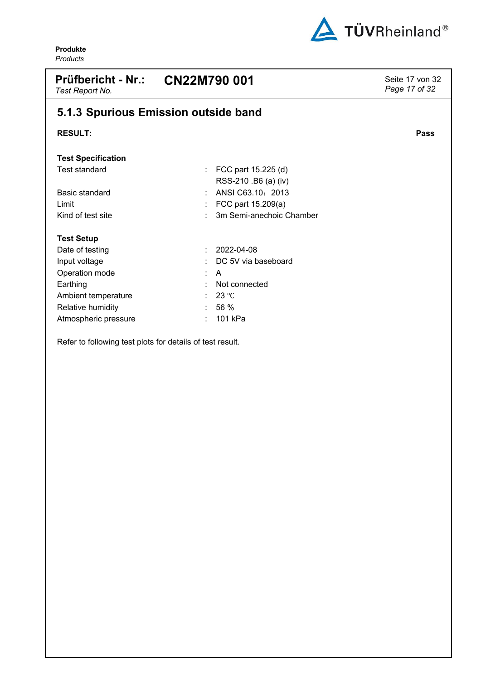

<span id="page-16-0"></span>

| <b>Prüfbericht - Nr.:</b><br>Test Report No. | CN22M790 001                                     | Seite 17 von 32<br>Page 17 of 32 |
|----------------------------------------------|--------------------------------------------------|----------------------------------|
|                                              | 5.1.3 Spurious Emission outside band             |                                  |
| <b>RESULT:</b>                               |                                                  | Pass                             |
| <b>Test Specification</b>                    |                                                  |                                  |
| Test standard                                | FCC part 15.225 (d)<br>t<br>RSS-210 .B6 (a) (iv) |                                  |
| Basic standard                               | ANSI C63.10: 2013                                |                                  |
| Limit                                        | FCC part 15.209(a)                               |                                  |
| Kind of test site                            | 3m Semi-anechoic Chamber                         |                                  |
| <b>Test Setup</b>                            |                                                  |                                  |
| Date of testing                              | 2022-04-08<br>÷                                  |                                  |
| Input voltage                                | DC 5V via baseboard                              |                                  |
| Operation mode                               | A                                                |                                  |
| Earthing                                     | Not connected<br>÷                               |                                  |
| Ambient temperature                          | $23^{\circ}$ C                                   |                                  |
| Relative humidity                            | 56 %                                             |                                  |
| Atmospheric pressure                         | 101 kPa                                          |                                  |

Refer to following test plots for details of test result.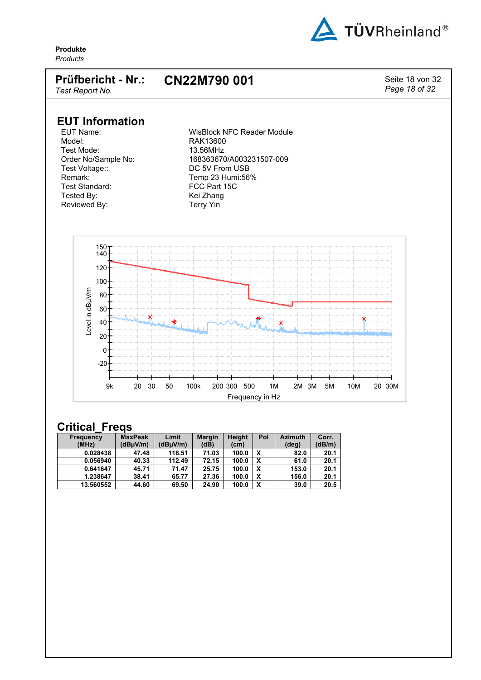

### **Prüfbericht - Nr.: CN22M790 001** Seite 18 von 32

*Page 18 of 32*

*Test Report No.*

# **EUT Information**

Test Mode:<br>Order No/Sample No: Test Voltage:: DC 5V From USB<br>Remark: Temp 23 Humi:56 Remark: Temp 23 Humi:56%<br>Test Standard: Test Standard: Text 15C Tested By:<br>
Reviewed By: The Meviewed By: Reviewed By:

EUT Name:  $\begin{array}{ccc}\n\text{WisBlock } & \text{NFC } & \text{Reader } & \text{Module} \\
\text{Model:} & \text{RAK13600}\n\end{array}$ RAK13600<br>13.56MHz Order No/Sample No: 168363670/A003231507-009<br>Test Voltage:: 168363670/A003231507-009 FCC Part 15C<br>Kei Zhang



| Frequency | <b>MaxPeak</b> | Limit    | <b>Margin</b> | Height | Pol | <b>Azimuth</b> | Corr.  |
|-----------|----------------|----------|---------------|--------|-----|----------------|--------|
| (MHz)     | (dBµV/m)       | (dBµV/m) | (dB)          | (cm)   |     | (deg)          | (dB/m) |
| 0.028438  | 47.48          | 118.51   | 71.03         | 100.0  | x   | 82.0           | 20.1   |
| 0.056940  | 40.33          | 112.49   | 72.15         | 100.0  | x   | 61.0           | 20.1   |
| 0.641647  | 45.71          | 71.47    | 25.75         | 100.0  | x   | 153.0          | 20.1   |
| 1.238647  | 38.41          | 65.77    | 27.36         | 100.0  | x   | 156.0          | 20.1   |
| 13.560552 | 44.60          | 69.50    | 24.90         | 100.0  | х   | 39.0           | 20.5   |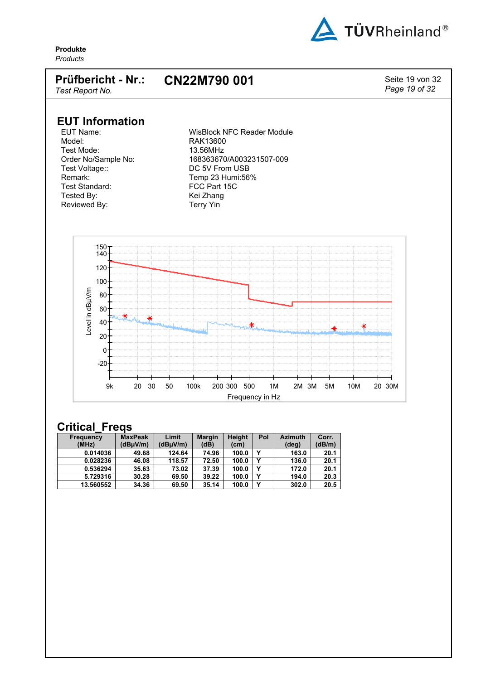

#### **Prüfbericht - Nr.:** *Test Report No.* **CN22M790 001** Seite 19 von 32

*Page 19 of 32*

# **EUT Information**

Test Mode:<br>Order No/Sample No: Test Voltage:: DC 5V From USB<br>Remark: Temp 23 Humi:56 Remark: Temp 23 Humi:56%<br>Test Standard: Test Standard: Text 15C Tested By:<br>
Reviewed By: The Meviewed By: Reviewed By:

EUT Name:  $\begin{array}{ccc}\n\text{WisBlock } & \text{NFC } & \text{Reader } & \text{Module} \\
\text{Model:} & \text{RAK13600}\n\end{array}$ RAK13600<br>13.56MHz Order No/Sample No: 168363670/A003231507-009<br>Test Voltage:: 168363670/A003231507-009 FCC Part 15C<br>Kei Zhang



| Frequency | <b>MaxPeak</b> | Limit    | <b>Margin</b> | <b>Height</b> | Pol | <b>Azimuth</b> | Corr.  |
|-----------|----------------|----------|---------------|---------------|-----|----------------|--------|
| (MHz)     | (dBµV/m)       | (dBµV/m) | (dB)          | (cm)          |     | (deg)          | (dB/m) |
| 0.014036  | 49.68          | 124.64   | 74.96         | 100.0         |     | 163.0          | 20.1   |
| 0.028236  | 46.08          | 118.57   | 72.50         | 100.0         |     | 136.0          | 20.1   |
| 0.536294  | 35.63          | 73.02    | 37.39         | 100.0         |     | 172.0          | 20.1   |
| 5.729316  | 30.28          | 69.50    | 39.22         | 100.0         | v   | 194.0          | 20.3   |
| 13.560552 | 34.36          | 69.50    | 35.14         | 100.0         |     | 302.0          | 20.5   |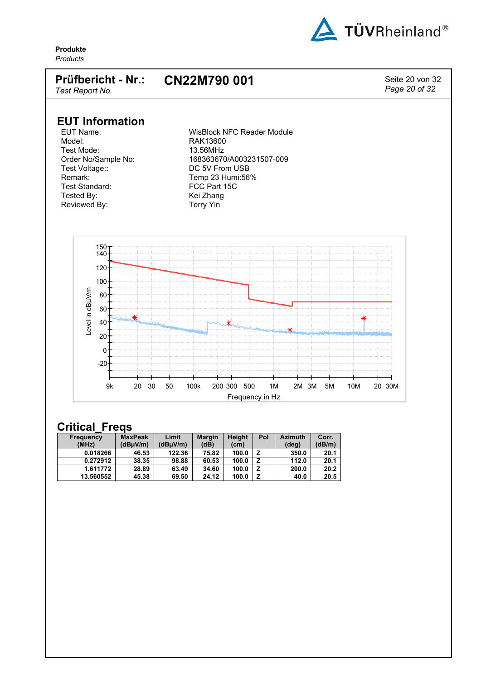

#### **Prüfbericht - Nr.:** *Test Report No.* **CN22M790 001** Seite 20 von 32

*Page 20 of 32*

# **EUT Information**

Test Mode:<br>Order No/Sample No: Test Voltage:: DC 5V From USB<br>Remark: Temp 23 Humi:56 Remark: Temp 23 Humi:56%<br>Test Standard: Test Standard: Text 15C Tested By:<br>
Reviewed By: The Meviewed By: Reviewed By:

EUT Name:  $\begin{array}{ccc}\n\text{WisBlock } & \text{NFC } & \text{Reader } & \text{Module} \\
\text{Model:} & \text{RAK13600}\n\end{array}$ RAK13600<br>13.56MHz Order No/Sample No: 168363670/A003231507-009<br>Test Voltage:: 168363670/A003231507-009 FCC Part 15C<br>Kei Zhang



| Frequency | <b>MaxPeak</b> | Limit    | <b>Margin</b> | Height | Pol | <b>Azimuth</b> | Corr.  |
|-----------|----------------|----------|---------------|--------|-----|----------------|--------|
| (MHz)     | (dBuV/m)       | (dBuV/m) | (dB)          | (cm)   |     | (deg)          | (dB/m) |
| 0.018266  | 46.53          | 122.36   | 75.82         | 100.0  |     | 350.0          | 20.1   |
| 0.272912  | 38.35          | 98.88    | 60.53         | 100.0  |     | 112.0          | 20.1   |
| 1.611772  | 28.89          | 63.49    | 34.60         | 100.0  |     | 200.0          | 20.2   |
| 13.560552 | 45.38          | 69.50    | 24.12         | 100.0  |     | 40.0           | 20.5   |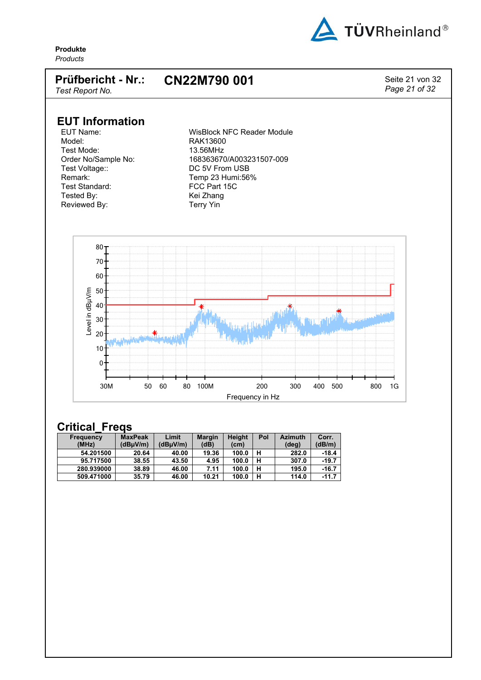

### **Prüfbericht - Nr.: CN22M790 001** Seite 21 von 32

*Page 21 of 32*

*Test Report No.*

# **EUT Information**

Test Mode:<br>Order No/Sample No: Test Voltage:: DC 5V From USB<br>Remark: Temp 23 Humi:56 Remark: Temp 23 Humi:56%<br>Test Standard: Test Standard: Text 15C Tested By:<br>
Reviewed By: The Meviewed By: Reviewed By:

EUT Name:  $\begin{array}{ccc}\n\text{WisBlock } & \text{NFC } & \text{Reader } & \text{Module} \\
\text{Model:} & \text{RAK13600}\n\end{array}$ RAK13600<br>13.56MHz Order No/Sample No: 168363670/A003231507-009<br>Test Voltage:: 168363670/A003231507-009 FCC Part 15C<br>Kei Zhang



| <b>Frequency</b> | <b>MaxPeak</b> | Limit    | <b>Margin</b> | <b>Height</b> | Pol | <b>Azimuth</b> | Corr.   |
|------------------|----------------|----------|---------------|---------------|-----|----------------|---------|
| (MHz)            | (dBuV/m)       | (dBuV/m) | (dB)          | (cm)          |     | (deg)          | (dB/m)  |
| 54.201500        | 20.64          | 40.00    | 19.36         | 100.0         |     | 282.0          | -18.4   |
| 95.717500        | 38.55          | 43.50    | 4.95          | 100.0         |     | 307.0          | $-19.7$ |
| 280.939000       | 38.89          | 46.00    | 7.11          | 100.0         |     | 195.0          | $-16.7$ |
| 509.471000       | 35.79          | 46.00    | 10.21         | 100.0         | н   | 114.0          | $-11.7$ |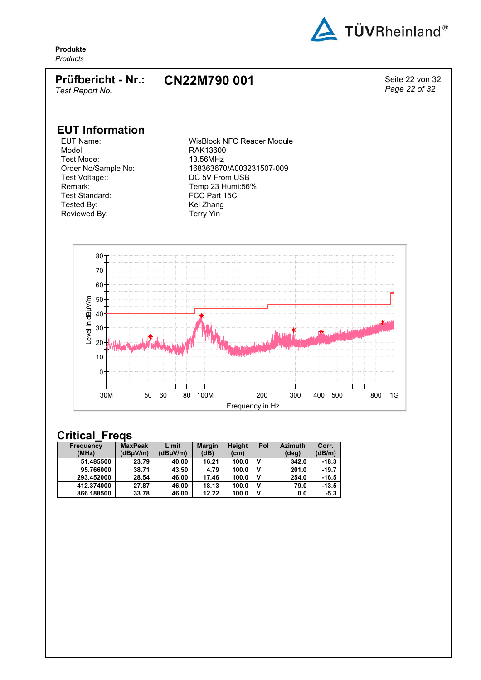

#### **Prüfbericht - Nr.: CN22M790 001** Seite 22 von 32

*Test Report No.*

*Page 22 of 32*

**EUT Information**

Model: RAK13600 Test Mode: 13.56MHz Test Voltage:: DC 5V From USB Remark: Temp 23 Humi:56%<br>Test Standard: Test Standard: Test Standard: Tested By: Kei Zhang Reviewed By: Terry Yin

WisBlock NFC Reader Module Order No/Sample No: 168363670/A003231507-009 FCC Part 15C



| <b>Frequency</b> | <b>MaxPeak</b> | Limit    | <b>Margin</b> | Height            | Pol | <b>Azimuth</b> | Corr.   |
|------------------|----------------|----------|---------------|-------------------|-----|----------------|---------|
| (MHz)            | (dBuV/m)       | (dBuV/m) | (dB)          | (c <sub>m</sub> ) |     | (deg)          | (dB/m)  |
| 51.485500        | 23.79          | 40.00    | 16.21         | 100.0             |     | 342.0          | $-18.3$ |
| 95.766000        | 38.71          | 43.50    | 4.79          | 100.0             |     | 201.0          | $-19.7$ |
| 293.452000       | 28.54          | 46.00    | 17.46         | 100.0             |     | 254.0          | $-16.5$ |
| 412.374000       | 27.87          | 46.00    | 18.13         | 100.0             |     | 79.0           | $-13.5$ |
| 866.188500       | 33.78          | 46.00    | 12.22         | 100.0             | v   | 0.0            | $-5.3$  |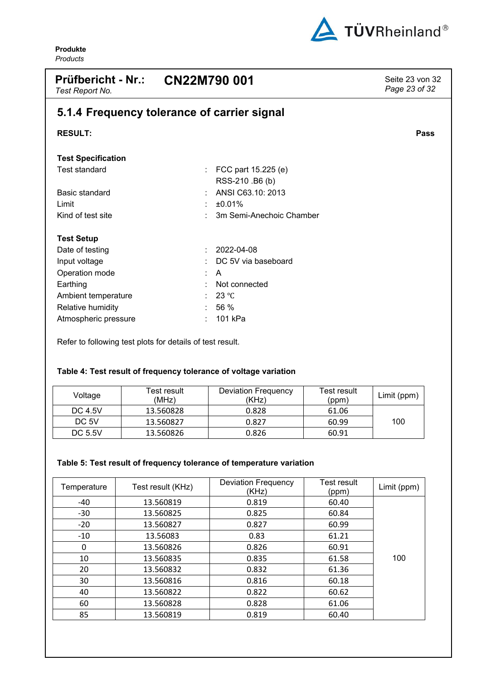

<span id="page-22-0"></span>

| <b>Prüfbericht - Nr.:</b><br>Test Report No. | CN22M790 001                                | Seite 23 von 32<br>Page 23 of 32 |
|----------------------------------------------|---------------------------------------------|----------------------------------|
|                                              | 5.1.4 Frequency tolerance of carrier signal |                                  |
| <b>RESULT:</b>                               |                                             | Pass                             |
| <b>Test Specification</b>                    |                                             |                                  |
| <b>Test standard</b>                         | FCC part 15.225 (e)<br>RSS-210 .B6 (b)      |                                  |
| Basic standard                               | ANSI C63.10: 2013                           |                                  |
| Limit                                        | ±0.01%                                      |                                  |
| Kind of test site                            | 3m Semi-Anechoic Chamber                    |                                  |
| <b>Test Setup</b>                            |                                             |                                  |
| Date of testing                              | 2022-04-08                                  |                                  |
| Input voltage                                | DC 5V via baseboard                         |                                  |
| Operation mode                               | A<br>÷                                      |                                  |
| Earthing                                     | Not connected                               |                                  |
| Ambient temperature                          | 23 °C                                       |                                  |
| Relative humidity                            | 56 %                                        |                                  |
| Atmospheric pressure                         | 101 kPa                                     |                                  |

<span id="page-22-1"></span>Refer to following test plots for details of test result.

### **Table 4: Test result of frequency tolerance of voltage variation**

| Voltage | Test result<br>(MHz) | <b>Deviation Frequency</b><br>(KHz) | Test result<br>(ppm) | Limit (ppm) |
|---------|----------------------|-------------------------------------|----------------------|-------------|
| DC 4.5V | 13.560828            | 0.828                               | 61.06                |             |
| DC 5V   | 13.560827            | 0.827                               | 60.99                | 100         |
| DC 5.5V | 13.560826            | 0.826                               | 60.91                |             |

### <span id="page-22-2"></span>**Table 5: Test result of frequency tolerance of temperature variation**

| Temperature | Test result (KHz) | <b>Deviation Frequency</b><br>(KHz) | Test result<br>(ppm) | Limit (ppm) |
|-------------|-------------------|-------------------------------------|----------------------|-------------|
| -40         | 13.560819         | 0.819                               | 60.40                |             |
| $-30$       | 13.560825         | 0.825                               | 60.84                |             |
| $-20$       | 13.560827         | 0.827                               | 60.99                |             |
| $-10$       | 13.56083          | 0.83                                | 61.21                |             |
| 0           | 13.560826         | 0.826                               | 60.91                |             |
| 10          | 13.560835         | 0.835                               | 61.58                | 100         |
| 20          | 13.560832         | 0.832                               | 61.36                |             |
| 30          | 13.560816         | 0.816                               | 60.18                |             |
| 40          | 13.560822         | 0.822                               | 60.62                |             |
| 60          | 13.560828         | 0.828                               | 61.06                |             |
| 85          | 13.560819         | 0.819                               | 60.40                |             |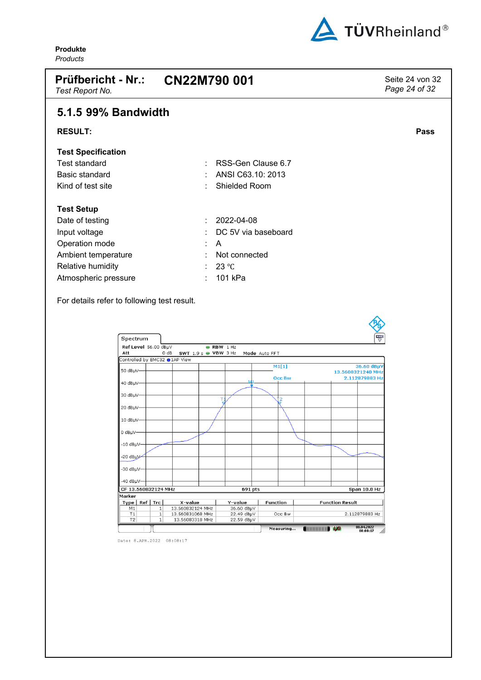

<span id="page-23-0"></span>

| <b>Prüfbericht - Nr.:</b><br>Test Report No. | CN22M790 001            | Seite 24 von 32<br>Page 24 of 32 |
|----------------------------------------------|-------------------------|----------------------------------|
| 5.1.5 99% Bandwidth                          |                         |                                  |
| <b>RESULT:</b>                               |                         | <b>Pass</b>                      |
| <b>Test Specification</b>                    |                         |                                  |
| <b>Test standard</b>                         | RSS-Gen Clause 6.7<br>٠ |                                  |
| Basic standard                               | ANSI C63.10: 2013<br>٠  |                                  |
| Kind of test site                            | Shielded Room           |                                  |
| <b>Test Setup</b>                            |                         |                                  |
| Date of testing                              | 2022-04-08<br>t.        |                                  |
| Input voltage                                | DC 5V via baseboard     |                                  |
| Operation mode                               | A<br>t.                 |                                  |
| Ambient temperature                          | Not connected<br>٠      |                                  |
| Relative humidity                            | 23 °C<br>۰.             |                                  |
| Atmospheric pressure                         | 101 kPa<br>t.           |                                  |

For details refer to following test result.

| Spectrum                      |              |                  |                      |            |                 |           |                   |                        | 쁏                            |
|-------------------------------|--------------|------------------|----------------------|------------|-----------------|-----------|-------------------|------------------------|------------------------------|
| Ref Level 56.00 dBµV          |              |                  | $\Rightarrow$        | RBW 1 Hz   |                 |           |                   |                        |                              |
| Att                           | 0 dB         |                  | SWT 1.9 s @ VBW 3 Hz |            | Mode Auto FFT   |           |                   |                        |                              |
| Controlled by EMC32 ●1AP View |              |                  |                      |            |                 |           |                   |                        |                              |
|                               |              |                  |                      |            |                 | M1[1]     |                   |                        | 36.60 dBµV                   |
| 50 dBµV-                      |              |                  |                      |            |                 |           |                   |                        | 13.5608321240 MHz            |
| 40 dBuV-                      |              |                  |                      |            |                 | Occ Bw    |                   |                        | 2.112879883 Hz               |
|                               |              |                  |                      |            |                 |           |                   |                        |                              |
| 30 dBuV-                      |              |                  |                      |            |                 |           |                   |                        |                              |
|                               |              |                  |                      |            |                 | 2         |                   |                        |                              |
| 20 dBµV-                      |              |                  |                      |            |                 |           |                   |                        |                              |
|                               |              |                  |                      |            |                 |           |                   |                        |                              |
| 10 dBµV-                      |              |                  |                      |            |                 |           |                   |                        |                              |
|                               |              |                  |                      |            |                 |           |                   |                        |                              |
| 0 dBLV-                       |              |                  |                      |            |                 |           |                   |                        |                              |
|                               |              |                  |                      |            |                 |           |                   |                        |                              |
| $-10$ dB $\mu$ V $-$          |              |                  |                      |            |                 |           |                   |                        |                              |
|                               |              |                  |                      |            |                 |           |                   |                        |                              |
| -20 dBµV-                     |              |                  |                      |            |                 |           |                   |                        |                              |
|                               |              |                  |                      |            |                 |           |                   |                        |                              |
| -30 dBuV-                     |              |                  |                      |            |                 |           |                   |                        |                              |
|                               |              |                  |                      |            |                 |           |                   |                        |                              |
| -40 dBµV-                     |              |                  |                      |            |                 |           |                   |                        |                              |
| CF 13.560832124 MHz           |              |                  |                      | 691 pts    |                 |           |                   |                        | <b>Span 10.0 Hz</b>          |
| Marker                        |              |                  |                      |            |                 |           |                   |                        |                              |
| Ref  <br>Type                 | <b>Trc</b>   | X-value          |                      | Y-value    | <b>Function</b> |           |                   | <b>Function Result</b> |                              |
| M1                            | $\mathbf{1}$ | 13.560832124 MHz |                      | 36.60 dBµV |                 |           |                   |                        |                              |
| T1                            | $\mathbf{1}$ | 13.560831068 MHz |                      | 22.49 dBµV |                 | Occ Bw    |                   |                        | 2.112879883 Hz               |
| T2                            | $\mathbf{1}$ | 13.56083318 MHz  |                      | 22.59 dBµV |                 |           |                   |                        |                              |
|                               |              |                  |                      |            |                 | Measuring | <b>CHECKER DA</b> |                        | 08.04.2022<br>08:08:17<br>Mi |

Date: 8.APR.2022 08:08:17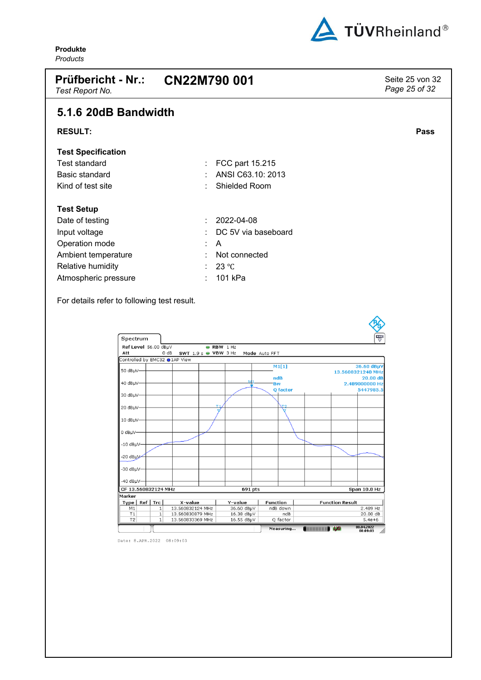

<span id="page-24-0"></span>

| <b>Prüfbericht - Nr.:</b><br>Test Report No. | CN22M790 001               | Seite 25 von 32<br>Page 25 of 32 |
|----------------------------------------------|----------------------------|----------------------------------|
| 5.1.6 20dB Bandwidth                         |                            |                                  |
| <b>RESULT:</b>                               |                            | Pass                             |
| <b>Test Specification</b>                    |                            |                                  |
| Test standard                                | FCC part 15.215<br>÷       |                                  |
| Basic standard                               | ANSI C63.10: 2013<br>٠     |                                  |
| Kind of test site                            | <b>Shielded Room</b><br>۰. |                                  |
| <b>Test Setup</b>                            |                            |                                  |
| Date of testing                              | 2022-04-08<br>÷.           |                                  |
| Input voltage                                | DC 5V via baseboard<br>۰.  |                                  |
| Operation mode                               | A<br>÷.                    |                                  |
| Ambient temperature                          | Not connected<br>۰.        |                                  |
| Relative humidity                            | 23 °C                      |                                  |
| Atmospheric pressure                         | 101 kPa                    |                                  |

For details refer to following test result.

| Spectrum                        |                   |                                      |                      |                          |                  |                 |                |                        | 쁏                                       |
|---------------------------------|-------------------|--------------------------------------|----------------------|--------------------------|------------------|-----------------|----------------|------------------------|-----------------------------------------|
| Ref Level 56.00 dBµV<br>Att     | 0 dB              |                                      | SWT 1.9 s @ VBW 3 Hz | RBW 1 Hz                 | Mode Auto FFT    |                 |                |                        |                                         |
| Controlled by EMC32 ●1AP View   |                   |                                      |                      |                          |                  |                 |                |                        |                                         |
| 50 dBµV-                        |                   |                                      |                      |                          | M1[1]            |                 |                |                        | 36.60 dBµV<br>13.5608321240 MHz         |
| 40 dBµV-                        |                   |                                      |                      |                          | ndB<br><b>Bw</b> | Q factor        |                |                        | 20.00 dB<br>2.489000000 Hz<br>5447985.5 |
| 30 dBµV-                        |                   |                                      |                      |                          |                  |                 |                |                        |                                         |
| 20 dBµV-                        |                   |                                      | т.                   |                          |                  | жq              |                |                        |                                         |
| 10 dBµV-                        |                   |                                      |                      |                          |                  |                 |                |                        |                                         |
| 0 dBµV-<br>$-10$ dB $\mu$ V $-$ |                   |                                      |                      |                          |                  |                 |                |                        |                                         |
| -20 dBµV-                       |                   |                                      |                      |                          |                  |                 |                |                        |                                         |
| -30 dBuV-                       |                   |                                      |                      |                          |                  |                 |                |                        |                                         |
| -40 dBµV-                       |                   |                                      |                      |                          |                  |                 |                |                        |                                         |
| CF 13.560832124 MHz             |                   |                                      |                      | 691 pts                  |                  |                 |                |                        | <b>Span 10.0 Hz</b>                     |
| Marker                          |                   |                                      |                      |                          |                  |                 |                |                        |                                         |
| Type                            | Ref   Tre         | X-value                              |                      | Y-value                  | <b>Function</b>  |                 |                | <b>Function Result</b> |                                         |
| M1                              | $\mathbf{1}$      | 13.560832124 MHz                     |                      | 36.60 dBµV               | ndB down         |                 |                |                        | 2.489 Hz                                |
| T1<br>T2                        | 1<br>$\mathbf{1}$ | 13.560830879 MHz<br>13.560833369 MHz |                      | 16.38 dBµV<br>16.55 dBµV |                  | ndB<br>Q factor |                |                        | 20.00 dB<br>$5.4e + 6$                  |
|                                 |                   |                                      |                      |                          |                  | Measuring       | $\blacksquare$ |                        | 08.04.2022<br>08:09:03                  |

Date: 8.APR.2022 08:09:03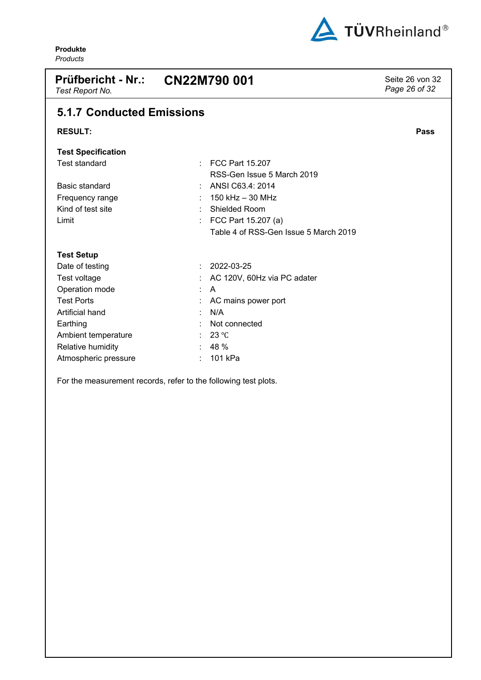

<span id="page-25-0"></span>

| <b>Prüfbericht - Nr.:</b><br>Test Report No. | CN22M790 001                          | Seite 26 von 32<br>Page 26 of 32 |
|----------------------------------------------|---------------------------------------|----------------------------------|
| <b>5.1.7 Conducted Emissions</b>             |                                       |                                  |
| <b>RESULT:</b>                               |                                       | Pass                             |
| <b>Test Specification</b>                    |                                       |                                  |
| <b>Test standard</b>                         | <b>FCC Part 15,207</b><br>÷.          |                                  |
|                                              | RSS-Gen Issue 5 March 2019            |                                  |
| Basic standard                               | ANSI C63.4: 2014                      |                                  |
| Frequency range                              | $150$ kHz $-30$ MHz                   |                                  |
| Kind of test site                            | <b>Shielded Room</b>                  |                                  |
| Limit                                        | FCC Part 15.207 (a)<br>÷              |                                  |
|                                              | Table 4 of RSS-Gen Issue 5 March 2019 |                                  |
| <b>Test Setup</b>                            |                                       |                                  |
| Date of testing                              | 2022-03-25<br>÷                       |                                  |
| Test voltage                                 | AC 120V, 60Hz via PC adater           |                                  |
| Operation mode                               | $\mathsf{A}$<br>÷                     |                                  |
| <b>Test Ports</b>                            | AC mains power port                   |                                  |
| Artificial hand                              | N/A                                   |                                  |
| Earthing                                     | Not connected                         |                                  |
| Ambient temperature                          | 23 °C                                 |                                  |
| Relative humidity                            | 48 %                                  |                                  |
| Atmospheric pressure                         | 101 kPa                               |                                  |

For the measurement records, refer to the following test plots.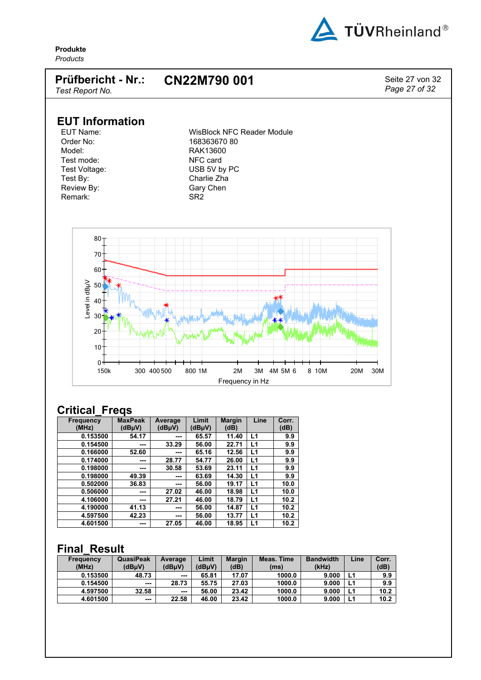

*Page 27 of 32*

**Produkte** *Products*

#### **Prüfbericht - Nr.: CN22M790 001** Seite 27 von 32

*Test Report No.*

# **EUT Information**

Order No: 168363670 80<br>Model: 168363670 80<br>RAK13600 Test mode: NFC card<br>Test Voltage: Notice that MUSB 5V by Test By: Charlie Zha Review By: Gary Chen Remark: SR2

EUT Name: WisBlock NFC Reader Module<br>
Order No: 168363670 80 RAK13600 USB 5V by PC



## **Critical\_Freqs**

| <b>Frequency</b><br>(MHz) | <b>MaxPeak</b><br>(dBµV) | Average<br>(dBµV) | Limit<br>(dBµV) | <b>Margin</b><br>(dB) | Line           | Corr.<br>(dB) |
|---------------------------|--------------------------|-------------------|-----------------|-----------------------|----------------|---------------|
| 0.153500                  | 54.17                    | ---               | 65.57           | 11.40                 | L1             | 9.9           |
| 0.154500                  | ---                      | 33.29             | 56.00           | 22.71                 | L1             | 9.9           |
| 0.166000                  | 52.60                    | ---               | 65.16           | 12.56                 | L <sub>1</sub> | 9.9           |
| 0.174000                  | ---                      | 28.77             | 54.77           | 26.00                 | L1             | 9.9           |
| 0.198000                  | ---                      | 30.58             | 53.69           | 23.11                 | L <sub>1</sub> | 9.9           |
| 0.198000                  | 49.39                    | ---               | 63.69           | 14.30                 | L1             | 9.9           |
| 0.502000                  | 36.83                    | ---               | 56.00           | 19.17                 | L1             | 10.0          |
| 0.506000                  | ---                      | 27.02             | 46.00           | 18.98                 | L <sub>1</sub> | 10.0          |
| 4.106000                  | ---                      | 27.21             | 46.00           | 18.79                 | L1             | 10.2          |
| 4.190000                  | 41.13                    | ---               | 56.00           | 14.87                 | L1             | 10.2          |
| 4.597500                  | 42.23                    | ---               | 56.00           | 13.77                 | L <sub>1</sub> | 10.2          |
| 4.601500                  | ---                      | 27.05             | 46.00           | 18.95                 | L1             | 10.2          |

## **Final\_Result**

| <b>Frequency</b><br>(MHz) | QuasiPeak<br>(dBuV) | Average<br>(dBuV) | Limit<br>(dBuV) | <b>Margin</b><br>(dB) | Meas. Time<br>(ms) | <b>Bandwidth</b><br>(kHz) | Line | Corr.<br>(dB) |
|---------------------------|---------------------|-------------------|-----------------|-----------------------|--------------------|---------------------------|------|---------------|
| 0.153500                  | 48.73               | $\sim$ $\sim$     | 65.81           | 17.07                 | 1000.0             | 9.000                     |      | 9.9           |
| 0.154500                  | $- - -$             | 28.73             | 55.75           | 27.03                 | 1000.0             | 9.000                     | L1   | 9.9           |
| 4.597500                  | 32.58               | $\sim$ $\sim$     | 56.00           | 23.42                 | 1000.0             | 9.000                     |      | 10.2          |
| 4.601500                  | $\sim$              | 22.58             | 46.00           | 23.42                 | 1000.0             | 9.000                     |      | 10.2          |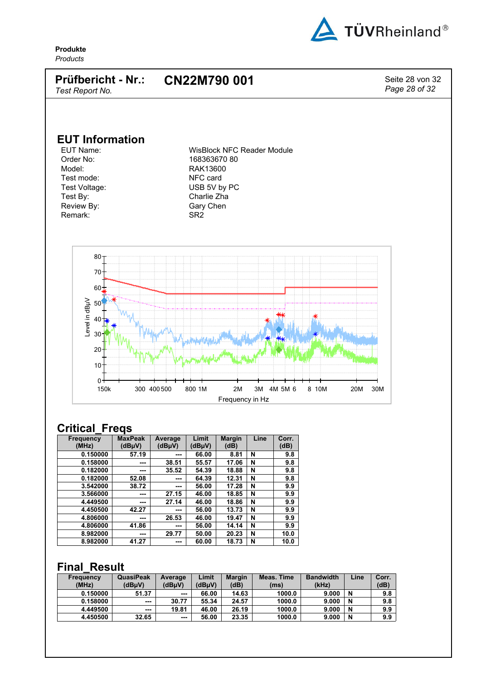

#### **Prüfbericht - Nr.:** *Test Report No.* **CN22M790 001** Seite 28 von 32

*Page 28 of 32*

**EUT Information**

Order No: 168363670 80<br>Model: 168363670 80<br>RAK13600 Test mode: NFC card<br>Test Voltage: Notice that MUSB 5V b Test By: Charlie Zha Review By: Gary Chen Remark: SR2

EUT Name: WisBlock NFC Reader Module<br>Order No: 168363670 80 RAK13600 USB 5V by PC



### **Critical\_Freqs**

| <b>Frequency</b><br>(MHz) | <b>MaxPeak</b><br>(dBµV) | Average<br>(dBµV) | Limit<br>(dBµV) | <b>Margin</b><br>(dB) | Line | Corr.<br>(dB) |
|---------------------------|--------------------------|-------------------|-----------------|-----------------------|------|---------------|
| 0.150000                  | 57.19                    | ---               | 66.00           | 8.81                  | N    | 9.8           |
| 0.158000                  | ---                      | 38.51             | 55.57           | 17.06                 | N    | 9.8           |
| 0.182000                  | ---                      | 35.52             | 54.39           | 18.88                 | N    | 9.8           |
| 0.182000                  | 52.08                    | ---               | 64.39           | 12.31                 | N    | 9.8           |
| 3.542000                  | 38.72                    | ---               | 56.00           | 17.28                 | N    | 9.9           |
| 3.566000                  | ---                      | 27.15             | 46.00           | 18.85                 | N    | 9.9           |
| 4.449500                  | ---                      | 27.14             | 46.00           | 18.86                 | N    | 9.9           |
| 4.450500                  | 42.27                    | ---               | 56.00           | 13.73                 | N    | 9.9           |
| 4.806000                  | ---                      | 26.53             | 46.00           | 19.47                 | N    | 9.9           |
| 4.806000                  | 41.86                    | ---               | 56.00           | 14.14                 | N    | 9.9           |
| 8.982000                  | ---                      | 29.77             | 50.00           | 20.23                 | N    | 10.0          |
| 8.982000                  | 41.27                    | ---               | 60.00           | 18.73                 | N    | 10.0          |

### **Final\_Result**

| <b>Frequency</b><br>(MHz) | <b>QuasiPeak</b><br>(dBuV) | Average<br>(dBuV) | Limit<br>(dBuV) | <b>Margin</b><br>(dB) | <b>Meas. Time</b><br>(ms) | <b>Bandwidth</b><br>(kHz) | Line | Corr.<br>(dB) |
|---------------------------|----------------------------|-------------------|-----------------|-----------------------|---------------------------|---------------------------|------|---------------|
| 0.150000                  | 51.37                      | $\sim$ $\sim$     | 66.00           | 14.63                 | 1000.0                    | 9.000                     | N    | 9.8           |
| 0.158000                  | $- - -$                    | 30.77             | 55.34           | 24.57                 | 1000.0                    | 9.000                     | N    | 9.8           |
| 4.449500                  | $- - -$                    | 19.81             | 46.00           | 26.19                 | 1000.0                    | 9.000                     | N    | 9.9           |
| 4.450500                  | 32.65                      | $\sim$ $\sim$     | 56.00           | 23.35                 | 1000.0                    | 9.000                     | N    | 9.9           |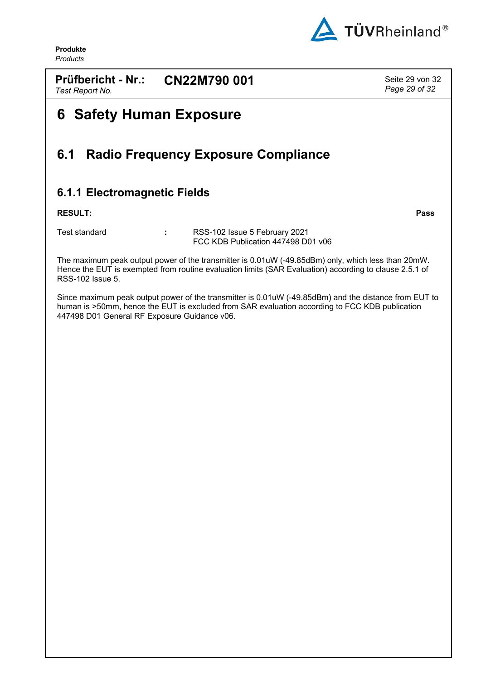

**Prüfbericht - Nr.:** *Test Report No.* **CN22M790 001** Seite 29 von 32

*Page 29 of 32*

# <span id="page-28-0"></span>**6 Safety Human Exposure**

## <span id="page-28-1"></span>**6.1 Radio Frequency Exposure Compliance**

## <span id="page-28-2"></span>**6.1.1 Electromagnetic Fields**

### **RESULT: Pass**

Test standard **:** RSS-102 Issue 5 February 2021 FCC KDB Publication 447498 D01 v06

The maximum peak output power of the transmitter is 0.01uW (-49.85dBm) only, which less than 20mW. Hence the EUT is exempted from routine evaluation limits (SAR Evaluation) according to clause 2.5.1 of RSS-102 Issue 5.

Since maximum peak output power of the transmitter is 0.01uW (-49.85dBm) and the distance from EUT to human is >50mm, hence the EUT is excluded from SAR evaluation according to FCC KDB publication 447498 D01 General RF Exposure Guidance v06.